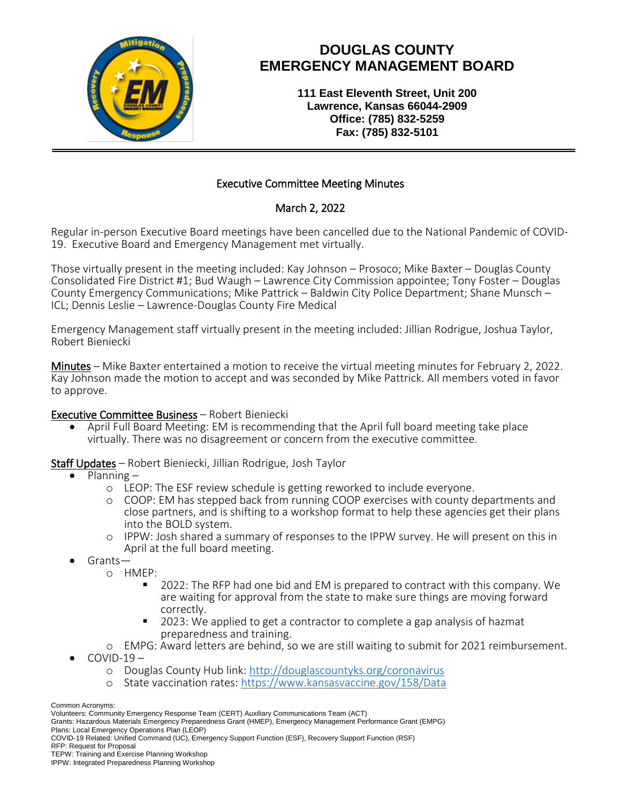

## **DOUGLAS COUNTY EMERGENCY MANAGEMENT BOARD**

**111 East Eleventh Street, Unit 200 Lawrence, Kansas 66044-2909 Office: (785) 832-5259 Fax: (785) 832-5101**

### Executive Committee Meeting Minutes

### March 2, 2022

Regular in-person Executive Board meetings have been cancelled due to the National Pandemic of COVID-19. Executive Board and Emergency Management met virtually.

Those virtually present in the meeting included: Kay Johnson – Prosoco; Mike Baxter – Douglas County Consolidated Fire District #1; Bud Waugh – Lawrence City Commission appointee; Tony Foster – Douglas County Emergency Communications; Mike Pattrick – Baldwin City Police Department; Shane Munsch – ICL; Dennis Leslie – Lawrence-Douglas County Fire Medical

Emergency Management staff virtually present in the meeting included: Jillian Rodrigue, Joshua Taylor, Robert Bieniecki

Minutes – Mike Baxter entertained a motion to receive the virtual meeting minutes for February 2, 2022. Kay Johnson made the motion to accept and was seconded by Mike Pattrick. All members voted in favor to approve.

#### Executive Committee Business – Robert Bieniecki

 April Full Board Meeting: EM is recommending that the April full board meeting take place virtually. There was no disagreement or concern from the executive committee.

Staff Updates – Robert Bieniecki, Jillian Rodrigue, Josh Taylor

- Planning
	- o LEOP: The ESF review schedule is getting reworked to include everyone.
	- o COOP: EM has stepped back from running COOP exercises with county departments and close partners, and is shifting to a workshop format to help these agencies get their plans into the BOLD system.
	- o IPPW: Josh shared a summary of responses to the IPPW survey. He will present on this in April at the full board meeting.
- Grants
	- o HMEP:
		- 2022: The RFP had one bid and EM is prepared to contract with this company. We are waiting for approval from the state to make sure things are moving forward correctly.
		- 2023: We applied to get a contractor to complete a gap analysis of hazmat preparedness and training.
	- o EMPG: Award letters are behind, so we are still waiting to submit for 2021 reimbursement.
- $COVID-19$ 
	- o Douglas County Hub link:<http://douglascountyks.org/coronavirus>
	- o State vaccination rates:<https://www.kansasvaccine.gov/158/Data>

Common Acronyms:

Volunteers: Community Emergency Response Team (CERT) Auxiliary Communications Team (ACT)

Grants: Hazardous Materials Emergency Preparedness Grant (HMEP), Emergency Management Performance Grant (EMPG) Plans: Local Emergency Operations Plan (LEOP)

COVID-19 Related: Unified Command (UC), Emergency Support Function (ESF), Recovery Support Function (RSF) RFP: Request for Proposal

TEPW: Training and Exercise Planning Workshop

IPPW: Integrated Preparedness Planning Workshop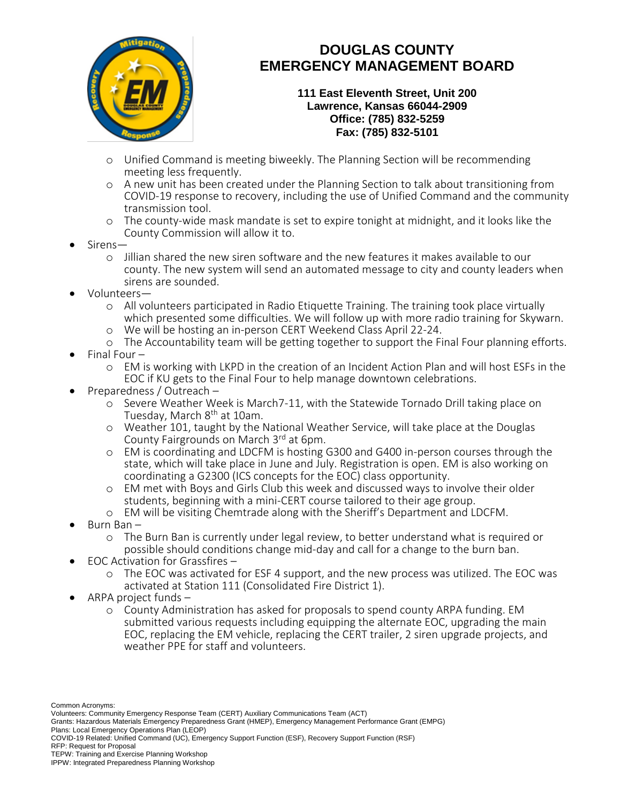

# **DOUGLAS COUNTY EMERGENCY MANAGEMENT BOARD**

**111 East Eleventh Street, Unit 200 Lawrence, Kansas 66044-2909 Office: (785) 832-5259 Fax: (785) 832-5101**

- o Unified Command is meeting biweekly. The Planning Section will be recommending meeting less frequently.
- o A new unit has been created under the Planning Section to talk about transitioning from COVID-19 response to recovery, including the use of Unified Command and the community transmission tool.
- o The county-wide mask mandate is set to expire tonight at midnight, and it looks like the County Commission will allow it to.
- Sirens
	- o Jillian shared the new siren software and the new features it makes available to our county. The new system will send an automated message to city and county leaders when sirens are sounded.
- Volunteers
	- o All volunteers participated in Radio Etiquette Training. The training took place virtually which presented some difficulties. We will follow up with more radio training for Skywarn.
	- o We will be hosting an in-person CERT Weekend Class April 22-24.
	- o The Accountability team will be getting together to support the Final Four planning efforts. Final Four –
		- o EM is working with LKPD in the creation of an Incident Action Plan and will host ESFs in the EOC if KU gets to the Final Four to help manage downtown celebrations.
- Preparedness / Outreach
	- o Severe Weather Week is March7-11, with the Statewide Tornado Drill taking place on Tuesday, March 8<sup>th</sup> at 10am.
	- o Weather 101, taught by the National Weather Service, will take place at the Douglas County Fairgrounds on March 3rd at 6pm.
	- o EM is coordinating and LDCFM is hosting G300 and G400 in-person courses through the state, which will take place in June and July. Registration is open. EM is also working on coordinating a G2300 (ICS concepts for the EOC) class opportunity.
	- o EM met with Boys and Girls Club this week and discussed ways to involve their older students, beginning with a mini-CERT course tailored to their age group.
	- o EM will be visiting Chemtrade along with the Sheriff's Department and LDCFM.
- Burn Ban
	- o The Burn Ban is currently under legal review, to better understand what is required or possible should conditions change mid-day and call for a change to the burn ban.
- EOC Activation for Grassfires
	- o The EOC was activated for ESF 4 support, and the new process was utilized. The EOC was activated at Station 111 (Consolidated Fire District 1).
- ARPA project funds
	- o County Administration has asked for proposals to spend county ARPA funding. EM submitted various requests including equipping the alternate EOC, upgrading the main EOC, replacing the EM vehicle, replacing the CERT trailer, 2 siren upgrade projects, and weather PPE for staff and volunteers.

Common Acronyms:

COVID-19 Related: Unified Command (UC), Emergency Support Function (ESF), Recovery Support Function (RSF) RFP: Request for Proposal

Volunteers: Community Emergency Response Team (CERT) Auxiliary Communications Team (ACT)

Grants: Hazardous Materials Emergency Preparedness Grant (HMEP), Emergency Management Performance Grant (EMPG) Plans: Local Emergency Operations Plan (LEOP)

TEPW: Training and Exercise Planning Workshop

IPPW: Integrated Preparedness Planning Workshop